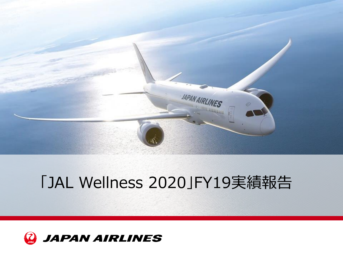

## 「JAL Wellness 2020」FY19実績報告

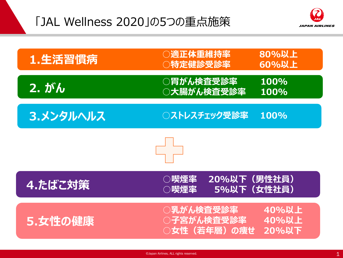## 「JAL Wellness 2020」の5つの重点施策



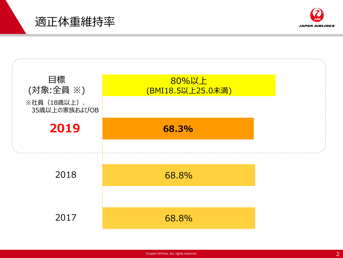適正体重維持率



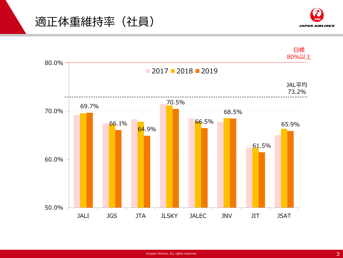



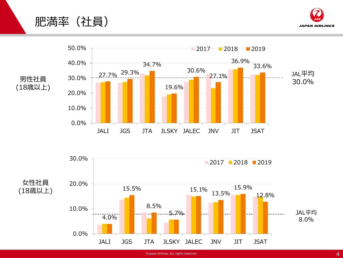





<sup>©</sup>Japan Airlines, ALL rights reserved.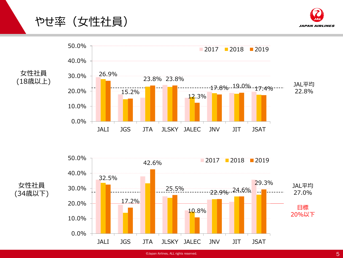やせ率(女性社員)







女性社員 (34歳以下)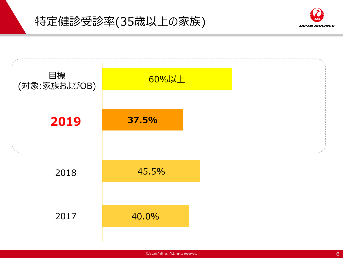



**JAPAN AIRLINES**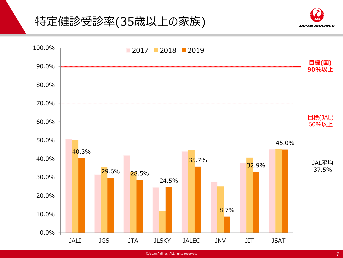## 特定健診受診率(35歳以上の家族)



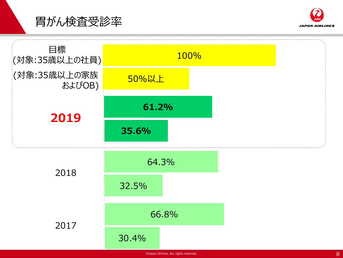



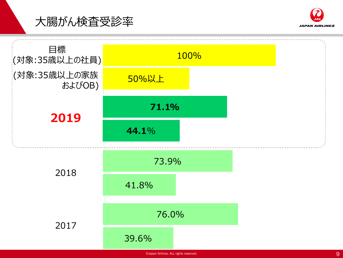



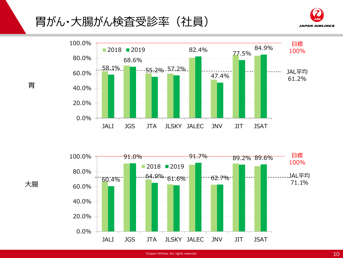胃がん・大腸がん検査受診率(社員)







胃

大腸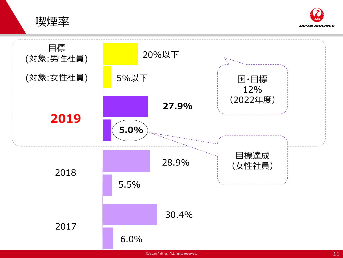喫煙率



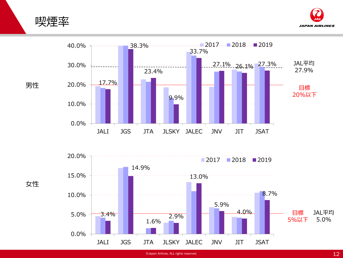





<sup>©</sup>Japan Airlines, ALL rights reserved.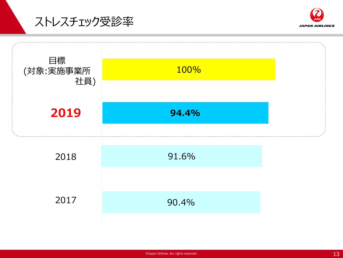ストレスチェック受診率



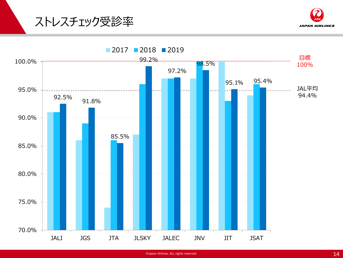



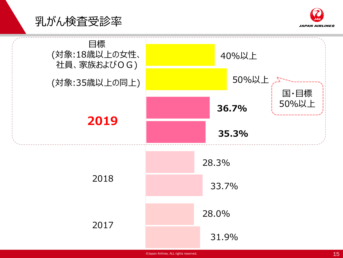



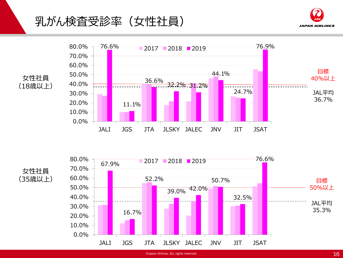## 乳がん検査受診率(女性社員)









<sup>©</sup>Japan Airlines, ALL rights reserved.  $16$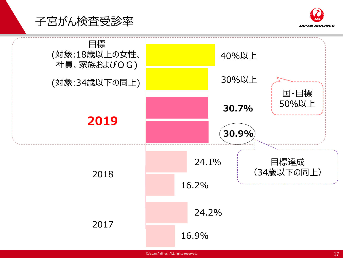



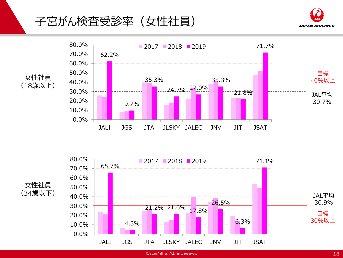子宮がん検査受診率(女性社員)









 $\bullet$ Japan Airlines, ALL rights reserved. 18  $18$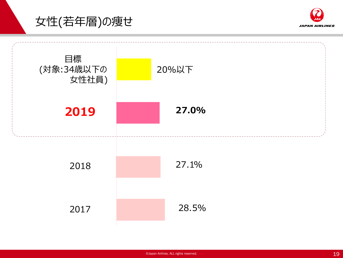